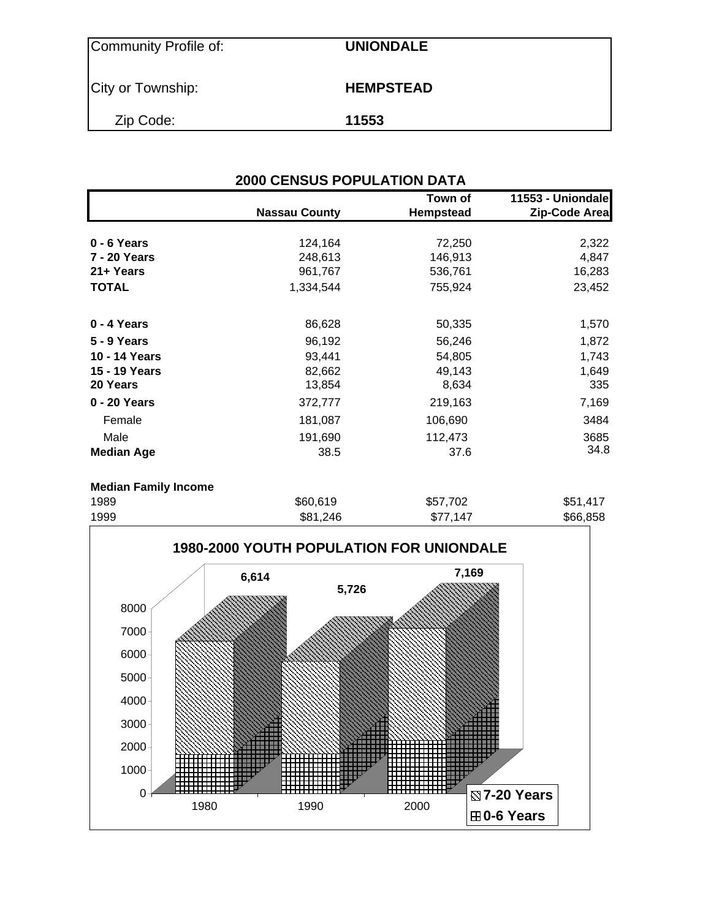| Community Profile of: | <b>UNIONDALE</b> |
|-----------------------|------------------|
| City or Township:     | <b>HEMPSTEAD</b> |
| Zip Code:             | 11553            |

| <b>2000 CENSUS POPULATION DATA</b> |                      |                             |                                    |  |  |  |  |
|------------------------------------|----------------------|-----------------------------|------------------------------------|--|--|--|--|
|                                    | <b>Nassau County</b> | Town of<br><b>Hempstead</b> | 11553 - Uniondale<br>Zip-Code Area |  |  |  |  |
| 0 - 6 Years                        | 124,164              | 72,250                      | 2,322                              |  |  |  |  |
| 7 - 20 Years                       | 248,613              | 146,913                     | 4,847                              |  |  |  |  |
| 21+ Years                          | 961,767              | 536,761                     | 16,283                             |  |  |  |  |
| <b>TOTAL</b>                       | 1,334,544            | 755,924                     | 23,452                             |  |  |  |  |
| 0 - 4 Years                        | 86,628               | 50,335                      | 1,570                              |  |  |  |  |
| <b>5 - 9 Years</b>                 | 96,192               | 56,246                      | 1,872                              |  |  |  |  |
| 10 - 14 Years                      | 93,441               | 54,805                      | 1,743                              |  |  |  |  |
| 15 - 19 Years                      | 82,662               | 49,143                      | 1,649                              |  |  |  |  |
| 20 Years                           | 13,854               | 8,634                       | 335                                |  |  |  |  |
| 0 - 20 Years                       | 372,777              | 219,163                     | 7,169                              |  |  |  |  |
| Female                             | 181,087              | 106,690                     | 3484                               |  |  |  |  |
| Male                               | 191,690              | 112,473                     | 3685                               |  |  |  |  |
| <b>Median Age</b>                  | 38.5                 | 37.6                        | 34.8                               |  |  |  |  |

#### **Median Family Income**

| 1989 | \$60,619 | \$57,702 | \$51,417 |
|------|----------|----------|----------|
| 1999 | \$81,246 | \$77,147 | \$66,858 |

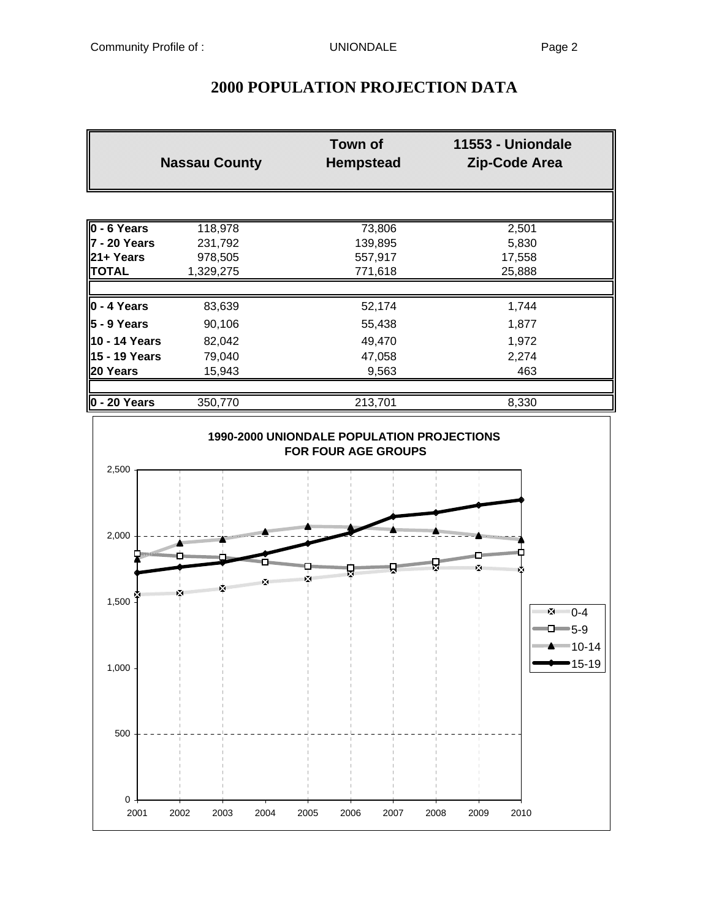|                       | <b>Nassau County</b> | <b>Town of</b><br><b>Hempstead</b> | 11553 - Uniondale<br><b>Zip-Code Area</b> |
|-----------------------|----------------------|------------------------------------|-------------------------------------------|
|                       |                      |                                    |                                           |
| 0 - 6 Years           | 118,978              | 73,806                             | 2,501                                     |
| 7 - 20 Years          | 231,792              | 139,895                            | 5,830                                     |
| 21+ Years             | 978,505              | 557,917                            | 17,558                                    |
| <b>TOTAL</b>          | 1,329,275            | 771,618                            | 25,888                                    |
| $0 - 4$ Years         | 83,639               | 52,174                             | 1,744                                     |
| 5 - 9 Years           | 90,106               | 55,438                             | 1,877                                     |
| 10 - 14 Years         | 82,042               | 49,470                             | 1,972                                     |
| 15 - 19 Years         | 79,040               | 47,058                             | 2,274                                     |
| 20 Years              | 15,943               | 9,563                              | 463                                       |
| $\sqrt{20 \text{ V}}$ | 250 770              | 242,704                            | 0.220                                     |

## **2000 POPULATION PROJECTION DATA**

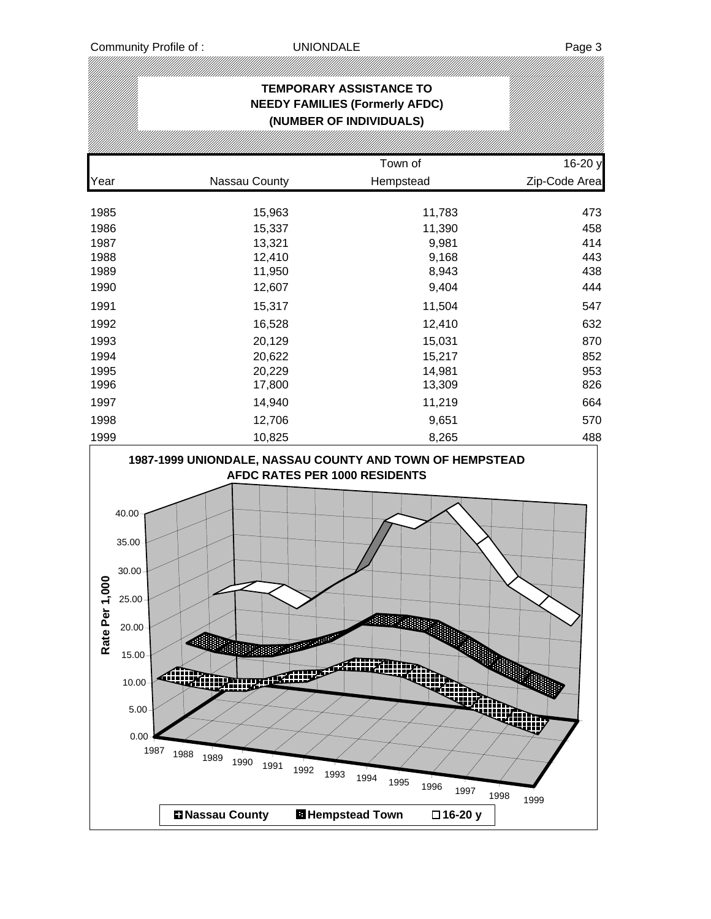# **TEMPORARY ASSISTANCE TO NEEDY FAMILIES (Formerly AFDC) (NUMBER OF INDIVIDUALS)** Town of 16-20 y Year Nassau County Hempstead Zip-Code Area 1985 15,963 11,783 473 1986 15,337 11,390 458 1987 13,321 9,981 414 1988 12,410 9,168 443 1989 11,950 8,943 438 1990 12,607 9,404 444 1991 15,317 11,504 547 1992 16,528 12,410 632 1993 20,129 15,031 870 1994 20,622 15,217 852 1995 20,229 14,981 953 1996 17,800 13,309 826 1997 14,940 11,219 664 1998 12,706 9,651 570 1999 10,825 8,265 488 **1987-1999 UNIONDALE, NASSAU COUNTY AND TOWN OF HEMPSTEAD AFDC RATES PER 1000 RESIDENTS** 40.00 35.00 30.00 Rate Per 1,000 **Rate Per 1,000**25.00 20.00 15.00 **AHHT** 10.00 5.00 1987 1988 1989 <sup>1987</sup> <sup>1988</sup> <sup>1989</sup> <sup>1990</sup> <sup>1991</sup> <sup>1992</sup> <sup>1993</sup> <sup>1994</sup> <sup>1995</sup> <sup>1996</sup> <sup>1997</sup> <sup>1998</sup> <sup>1999</sup> **Nassau County Hempstead Town 16-20 y**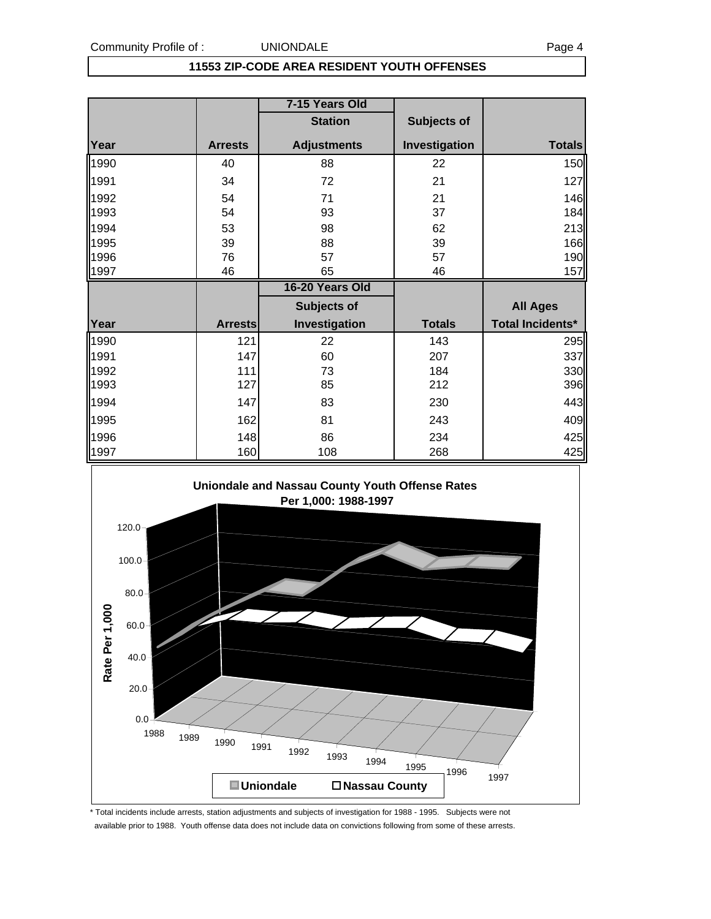#### **11553 ZIP-CODE AREA RESIDENT YOUTH OFFENSES**

|              |                | 7-15 Years Old     |               |                         |
|--------------|----------------|--------------------|---------------|-------------------------|
|              |                | <b>Station</b>     | Subjects of   |                         |
| Year         | <b>Arrests</b> | <b>Adjustments</b> | Investigation | <b>Totals</b>           |
| 1990         | 40             | 88                 | 22            | 150                     |
| 1991         | 34             | 72                 | 21            | 127                     |
| 1992         | 54             | 71                 | 21            | 146                     |
| 1993         | 54             | 93                 | 37            | 184                     |
| 1994         | 53             | 98                 | 62            | 213                     |
| 1995         | 39             | 88                 | 39            | 166                     |
| 1996         | 76             | 57                 | 57            | 190                     |
| 1997         | 46             | 65                 | 46            | 157                     |
|              |                |                    |               |                         |
|              |                | 16-20 Years Old    |               |                         |
|              |                | <b>Subjects of</b> |               | <b>All Ages</b>         |
| Year         | <b>Arrests</b> | Investigation      | <b>Totals</b> | <b>Total Incidents*</b> |
|              | 121            | 22                 | 143           |                         |
| 1990<br>1991 | 147            | 60                 | 207           | 295<br>337              |
| 1992         | 111            | 73                 | 184           | 330                     |
| 1993         | 127            | 85                 | 212           | 396                     |
| 1994         | 147            | 83                 | 230           | 443                     |
| 1995         | 162            | 81                 | 243           | 409                     |
| 1996         | 148            | 86                 | 234           | 425                     |



\* Total incidents include arrests, station adjustments and subjects of investigation for 1988 - 1995. Subjects were not available prior to 1988. Youth offense data does not include data on convictions following from some of these arrests.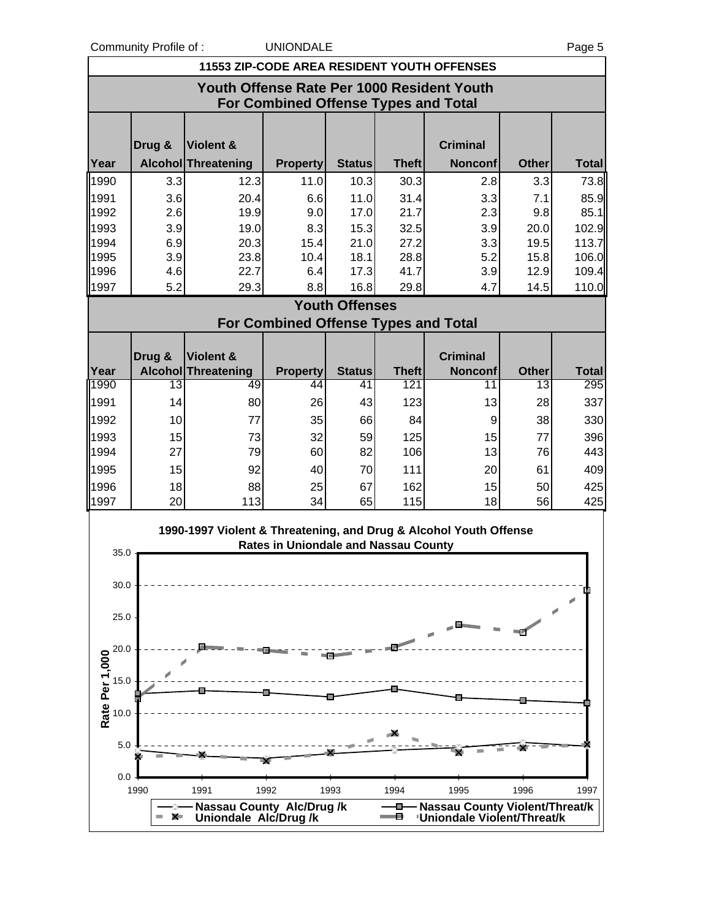| <b>UNIONDALE</b><br>Community Profile of:<br>Page 5 |        |                                                                   |                                             |                       |                     |                                                    |                    |                     |
|-----------------------------------------------------|--------|-------------------------------------------------------------------|---------------------------------------------|-----------------------|---------------------|----------------------------------------------------|--------------------|---------------------|
|                                                     |        |                                                                   |                                             |                       |                     | <b>11553 ZIP-CODE AREA RESIDENT YOUTH OFFENSES</b> |                    |                     |
|                                                     |        |                                                                   |                                             |                       |                     | Youth Offense Rate Per 1000 Resident Youth         |                    |                     |
|                                                     |        |                                                                   | For Combined Offense Types and Total        |                       |                     |                                                    |                    |                     |
|                                                     |        |                                                                   |                                             |                       |                     |                                                    |                    |                     |
|                                                     | Drug & | Violent &                                                         |                                             |                       |                     | <b>Criminal</b>                                    |                    |                     |
| Year                                                |        | Alcohol Threatening                                               | <b>Property</b>                             | <b>Status</b>         | <b>Theft</b>        | <b>Nonconf</b>                                     | <b>Other</b>       | <b>Total</b>        |
| 1990                                                | 3.3    | 12.3                                                              | 11.0                                        | 10.3                  | 30.3                | 2.8                                                | 3.3                | 73.8                |
| 1991                                                | 3.6    | 20.4                                                              | 6.6                                         | 11.0                  | 31.4                | 3.3                                                | 7.1                | 85.9                |
| 1992                                                | 2.6    | 19.9                                                              | 9.0                                         | 17.0                  | 21.7                | 2.3                                                | 9.8                | 85.1                |
| 1993                                                | 3.9    | 19.0                                                              | 8.3                                         | 15.3                  | 32.5                | 3.9                                                | 20.0               | 102.9               |
| 1994                                                | 6.9    | 20.3                                                              | 15.4                                        | 21.0                  | 27.2                | 3.3                                                | 19.5               | 113.7               |
| 1995                                                | 3.9    | 23.8                                                              | 10.4                                        | 18.1                  | 28.8                | 5.2                                                | 15.8               | 106.0               |
| 1996                                                | 4.6    | 22.7                                                              | 6.4                                         | 17.3                  | 41.7                | 3.9                                                | 12.9               | 109.4               |
| 1997                                                | 5.2    | 29.3                                                              | 8.8                                         | 16.8                  | 29.8                | 4.7                                                | 14.5               | 110.0               |
|                                                     |        |                                                                   |                                             | <b>Youth Offenses</b> |                     |                                                    |                    |                     |
|                                                     |        |                                                                   | <b>For Combined Offense Types and Total</b> |                       |                     |                                                    |                    |                     |
|                                                     |        |                                                                   |                                             |                       |                     |                                                    |                    |                     |
|                                                     | Drug & | Violent &                                                         |                                             |                       |                     | <b>Criminal</b>                                    |                    |                     |
| Year<br>1990                                        | 13     | <b>Alcohol Threatening</b><br>49                                  | <b>Property</b><br>44                       | <b>Status</b><br>41   | <b>Theft</b><br>121 | <b>Nonconf</b><br>11                               | <b>Other</b><br>13 | <b>Total</b><br>295 |
|                                                     |        |                                                                   |                                             |                       |                     |                                                    |                    |                     |
| 1991                                                | 14     | 80                                                                | 26                                          | 43                    | 123                 | 13                                                 | 28                 | 337                 |
| 1992                                                | 10     | 77                                                                | 35                                          | 66                    | 84                  | 9                                                  | 38                 | 330                 |
| 1993                                                | 15     | 73                                                                | 32                                          | 59                    | 125                 | 15                                                 | 77                 | 396                 |
| 1994                                                | 27     | 79                                                                | 60                                          | 82                    | 106                 | 13                                                 | 76                 | 443                 |
| 1995                                                | 15     | 92                                                                | 40                                          | 70                    | 111                 | 20                                                 | 61                 | 409                 |
| 1996                                                | 18     | 88                                                                | 25                                          | 67                    | 162                 | 15                                                 | 50                 | 425                 |
| 1997                                                | 20     | 113                                                               | 34                                          | 65                    | 115                 | 18                                                 | 56                 | 425                 |
|                                                     |        | 1990-1997 Violent & Threatening, and Drug & Alcohol Youth Offense |                                             |                       |                     |                                                    |                    |                     |
|                                                     |        |                                                                   | <b>Rates in Uniondale and Nassau County</b> |                       |                     |                                                    |                    |                     |
| 35.0 $\textbf{t}$                                   |        |                                                                   |                                             |                       |                     |                                                    |                    |                     |
| 30.0                                                |        |                                                                   |                                             |                       |                     |                                                    |                    |                     |
|                                                     |        |                                                                   |                                             |                       |                     |                                                    |                    |                     |
| 25.0                                                |        |                                                                   |                                             |                       |                     |                                                    |                    |                     |
|                                                     |        |                                                                   |                                             |                       |                     |                                                    |                    |                     |
| 20.0                                                |        |                                                                   |                                             |                       |                     |                                                    |                    |                     |
|                                                     |        |                                                                   |                                             |                       |                     |                                                    |                    |                     |
| 15.0                                                |        |                                                                   |                                             |                       |                     |                                                    |                    |                     |
| Rate Per 1,000                                      |        |                                                                   |                                             |                       |                     |                                                    |                    |                     |
| 10.0                                                |        |                                                                   |                                             |                       |                     |                                                    |                    |                     |
|                                                     |        |                                                                   |                                             |                       |                     |                                                    |                    |                     |
| 5.0                                                 |        |                                                                   |                                             |                       |                     |                                                    |                    |                     |
|                                                     |        |                                                                   |                                             |                       |                     |                                                    |                    |                     |
| 0.0                                                 |        |                                                                   |                                             |                       |                     |                                                    |                    |                     |

1990 1991 1992 1993 1994 1995 1996 1997

**Nassau County Alc/Drug /k**<br>
Uniondale Alc/Drug /k

 $\sum_{i=1}^{\infty}$  $- x$  **Nassau County Violent/Threat/k**<br> **Nassau County Violent/Threat/k**<br> **Nassau County Violent/Threat/k**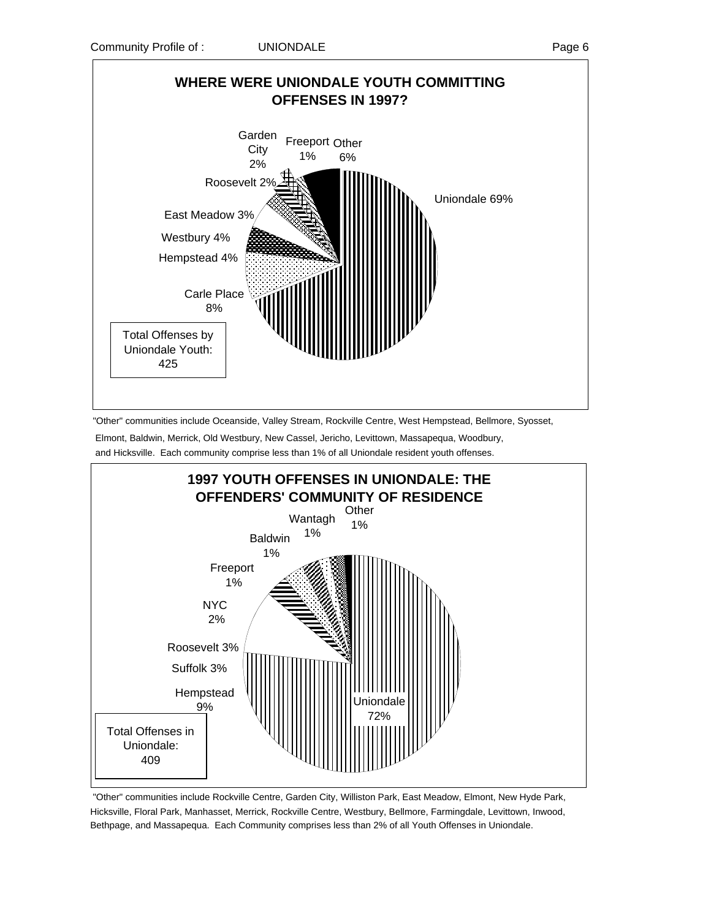

 "Other" communities include Oceanside, Valley Stream, Rockville Centre, West Hempstead, Bellmore, Syosset, Elmont, Baldwin, Merrick, Old Westbury, New Cassel, Jericho, Levittown, Massapequa, Woodbury, and Hicksville. Each community comprise less than 1% of all Uniondale resident youth offenses.



 "Other" communities include Rockville Centre, Garden City, Williston Park, East Meadow, Elmont, New Hyde Park, Hicksville, Floral Park, Manhasset, Merrick, Rockville Centre, Westbury, Bellmore, Farmingdale, Levittown, Inwood, Bethpage, and Massapequa. Each Community comprises less than 2% of all Youth Offenses in Uniondale.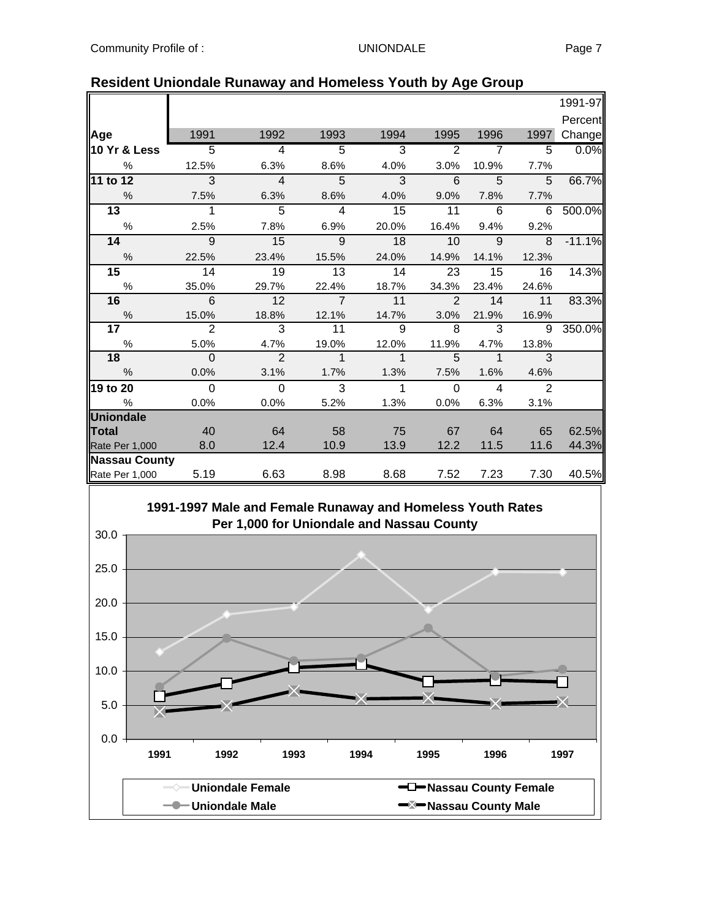|                      |                |                |                |                |                 |                |       | 1991-97  |
|----------------------|----------------|----------------|----------------|----------------|-----------------|----------------|-------|----------|
|                      |                |                |                |                |                 |                |       | Percent  |
| Age                  | 1991           | 1992           | 1993           | 1994           | 1995            | 1996           | 1997  | Change   |
| 10 Yr & Less         | $\overline{5}$ | $\overline{4}$ | $\overline{5}$ | 3              | $\overline{2}$  | $\overline{7}$ | 5     | 0.0%     |
| $\%$                 | 12.5%          | 6.3%           | 8.6%           | 4.0%           | 3.0%            | 10.9%          | 7.7%  |          |
| 11 to 12             | $\overline{3}$ | $\overline{4}$ | $\overline{5}$ | $\overline{3}$ | $6\overline{6}$ | 5              | 5     | 66.7%    |
| %                    | 7.5%           | 6.3%           | 8.6%           | 4.0%           | 9.0%            | 7.8%           | 7.7%  |          |
| 13                   | 1              | $\overline{5}$ | $\overline{4}$ | 15             | 11              | 6              | 6     | 500.0%   |
| $\%$                 | 2.5%           | 7.8%           | 6.9%           | 20.0%          | 16.4%           | 9.4%           | 9.2%  |          |
| 14                   | 9              | 15             | 9              | 18             | 10              | 9              | 8     | $-11.1%$ |
| $\%$                 | 22.5%          | 23.4%          | 15.5%          | 24.0%          | 14.9%           | 14.1%          | 12.3% |          |
| 15                   | 14             | 19             | 13             | 14             | 23              | 15             | 16    | 14.3%    |
| $\%$                 | 35.0%          | 29.7%          | 22.4%          | 18.7%          | 34.3%           | 23.4%          | 24.6% |          |
| 16                   | 6              | 12             | $\overline{7}$ | 11             | $\mathcal{P}$   | 14             | 11    | 83.3%    |
| $\%$                 | 15.0%          | 18.8%          | 12.1%          | 14.7%          | 3.0%            | 21.9%          | 16.9% |          |
| 17                   | $\overline{2}$ | 3              | 11             | $\overline{9}$ | 8               | 3              | 9     | 350.0%   |
| %                    | 5.0%           | 4.7%           | 19.0%          | 12.0%          | 11.9%           | 4.7%           | 13.8% |          |
| 18                   | $\mathbf{0}$   | $\overline{2}$ | $\mathbf{1}$   | $\mathbf{1}$   | 5               | $\mathbf 1$    | 3     |          |
| %                    | 0.0%           | 3.1%           | 1.7%           | 1.3%           | 7.5%            | 1.6%           | 4.6%  |          |
| 19 to 20             | $\Omega$       | $\mathbf 0$    | 3              | $\mathbf{1}$   | $\Omega$        | $\overline{4}$ | 2     |          |
| $\%$                 | 0.0%           | 0.0%           | 5.2%           | 1.3%           | 0.0%            | 6.3%           | 3.1%  |          |
| <b>Uniondale</b>     |                |                |                |                |                 |                |       |          |
| <b>Total</b>         | 40             | 64             | 58             | 75             | 67              | 64             | 65    | 62.5%    |
| Rate Per 1,000       | 8.0            | 12.4           | 10.9           | 13.9           | 12.2            | 11.5           | 11.6  | 44.3%    |
| <b>Nassau County</b> |                |                |                |                |                 |                |       |          |
| Rate Per 1,000       | 5.19           | 6.63           | 8.98           | 8.68           | 7.52            | 7.23           | 7.30  | 40.5%    |

#### **Resident Uniondale Runaway and Homeless Youth by Age Group**

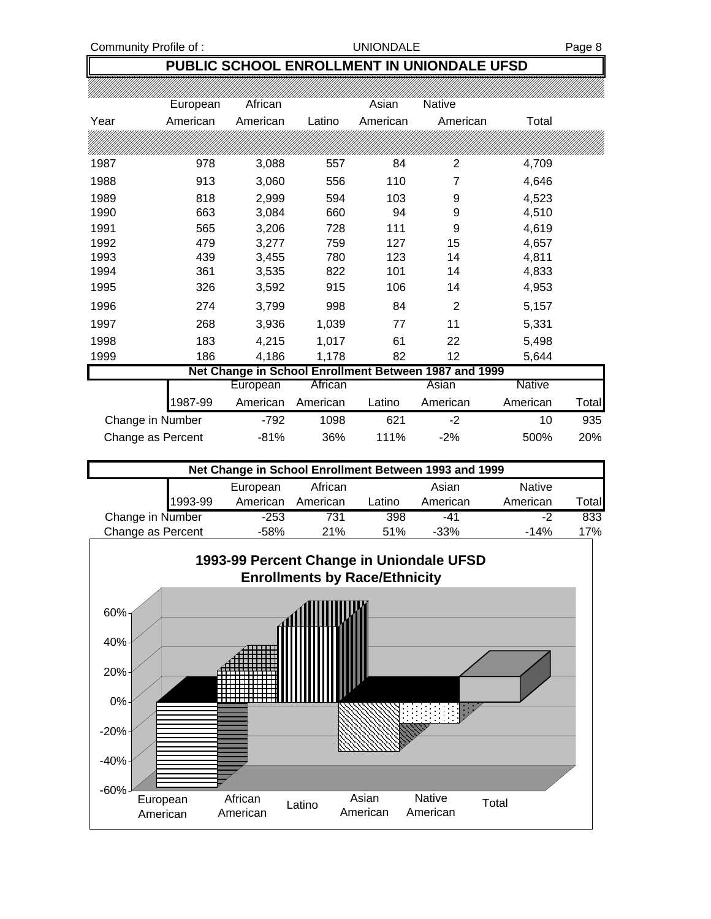### **PUBLIC SCHOOL ENROLLMENT IN UNIONDALE UFSD**

|                   | European | African  |          | Asian    | Native                                                |          |       |
|-------------------|----------|----------|----------|----------|-------------------------------------------------------|----------|-------|
| Year              | American | American | Latino   | American | American                                              | Total    |       |
|                   |          |          |          |          |                                                       |          |       |
| 1987              | 978      | 3,088    | 557      | 84       | $\overline{2}$                                        | 4,709    |       |
| 1988              | 913      | 3,060    | 556      | 110      | 7                                                     | 4,646    |       |
| 1989              | 818      | 2,999    | 594      | 103      | 9                                                     | 4,523    |       |
| 1990              | 663      | 3,084    | 660      | 94       | 9                                                     | 4,510    |       |
| 1991              | 565      | 3,206    | 728      | 111      | 9                                                     | 4,619    |       |
| 1992              | 479      | 3,277    | 759      | 127      | 15                                                    | 4,657    |       |
| 1993              | 439      | 3,455    | 780      | 123      | 14                                                    | 4,811    |       |
| 1994              | 361      | 3,535    | 822      | 101      | 14                                                    | 4,833    |       |
| 1995              | 326      | 3,592    | 915      | 106      | 14                                                    | 4,953    |       |
| 1996              | 274      | 3,799    | 998      | 84       | $\overline{2}$                                        | 5,157    |       |
| 1997              | 268      | 3,936    | 1,039    | 77       | 11                                                    | 5,331    |       |
| 1998              | 183      | 4,215    | 1,017    | 61       | 22                                                    | 5,498    |       |
| 1999              | 186      | 4,186    | 1,178    | 82       | 12                                                    | 5,644    |       |
|                   |          |          |          |          | Net Change in School Enrollment Between 1987 and 1999 |          |       |
|                   |          | European | African  |          | Asian                                                 | Native   |       |
|                   | 987-99   | American | American | Latino   | American                                              | American | Total |
| Change in Number  |          | $-792$   | 1098     | 621      | $-2$                                                  | 10       | 935   |
| Change as Percent |          | $-81%$   | 36%      | 111%     | $-2%$                                                 | 500%     | 20%   |

| Net Change in School Enrollment Between 1993 and 1999 |         |          |          |        |          |          |        |
|-------------------------------------------------------|---------|----------|----------|--------|----------|----------|--------|
| <b>Native</b><br>Asian<br>African<br>European         |         |          |          |        |          |          |        |
|                                                       | 1993-99 | American | American | Latino | American | American | Totall |
| Change in Number                                      |         | $-253$   | 731      | 398    | -41      | -2       | 833    |
| Change as Percent                                     |         | -58%     | 21%      | 51%    | $-33%$   | $-14%$   | 17%    |

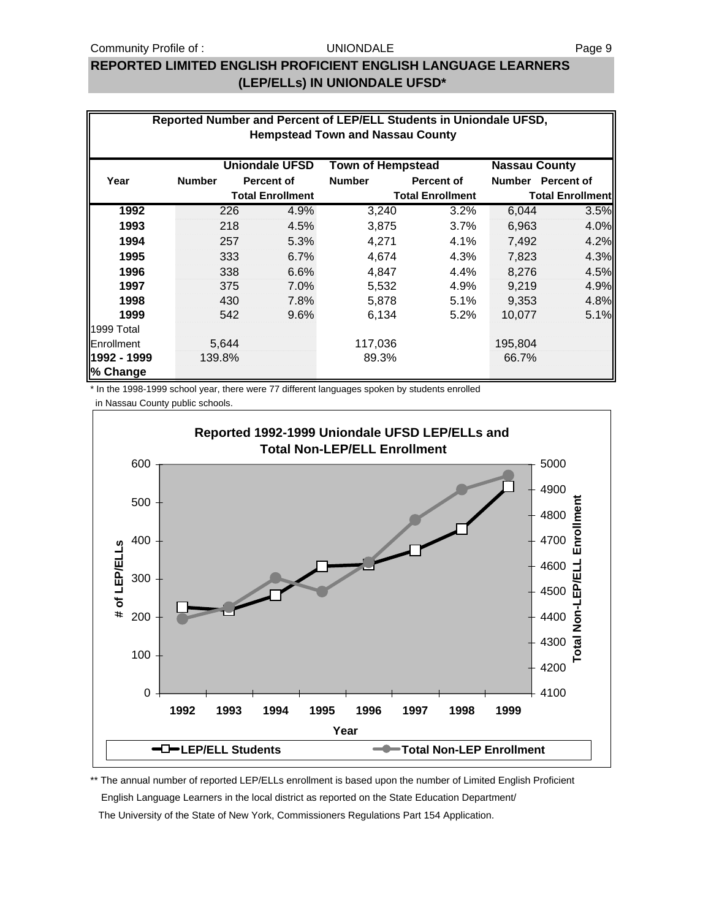### **REPORTED LIMITED ENGLISH PROFICIENT ENGLISH LANGUAGE LEARNERS (LEP/ELLs) IN UNIONDALE UFSD\***

|                         | Reported Number and Percent of LEP/ELL Students in Uniondale UFSD,<br><b>Hempstead Town and Nassau County</b>                            |       |                         |               |                         |         |                         |  |  |
|-------------------------|------------------------------------------------------------------------------------------------------------------------------------------|-------|-------------------------|---------------|-------------------------|---------|-------------------------|--|--|
| Year                    | <b>Uniondale UFSD</b><br><b>Town of Hempstead</b><br><b>Nassau County</b><br>Number Percent of<br><b>Percent of</b><br><b>Percent of</b> |       |                         |               |                         |         |                         |  |  |
|                         | <b>Number</b>                                                                                                                            |       | <b>Total Enrollment</b> | <b>Number</b> | <b>Total Enrollment</b> |         | <b>Total Enrollment</b> |  |  |
| 1992                    |                                                                                                                                          | 226   | 4.9%                    | 3,240         | 3.2%                    | 6,044   | 3.5%                    |  |  |
| 1993                    |                                                                                                                                          | 218   | 4.5%                    | 3,875         | 3.7%                    | 6,963   | 4.0%                    |  |  |
| 1994                    |                                                                                                                                          | 257   | 5.3%                    | 4,271         | 4.1%                    | 7,492   | 4.2%                    |  |  |
| 1995                    |                                                                                                                                          | 333   | 6.7%                    | 4,674         | 4.3%                    | 7,823   | 4.3%                    |  |  |
| 1996                    |                                                                                                                                          | 338   | 6.6%                    | 4,847         | 4.4%                    | 8,276   | 4.5%                    |  |  |
| 1997                    |                                                                                                                                          | 375   | 7.0%                    | 5,532         | 4.9%                    | 9,219   | 4.9%                    |  |  |
| 1998                    |                                                                                                                                          | 430   | 7.8%                    | 5,878         | 5.1%                    | 9,353   | 4.8%                    |  |  |
| 1999                    |                                                                                                                                          | 542   | 9.6%                    | 6,134         | 5.2%                    | 10,077  | 5.1%                    |  |  |
| 1999 Total              |                                                                                                                                          |       |                         |               |                         |         |                         |  |  |
| Enrollment              |                                                                                                                                          | 5,644 |                         | 117,036       |                         | 195,804 |                         |  |  |
| 1992 - 1999<br>% Change | 139.8%                                                                                                                                   |       |                         | 89.3%         |                         | 66.7%   |                         |  |  |

\* In the 1998-1999 school year, there were 77 different languages spoken by students enrolled

in Nassau County public schools.



\*\* The annual number of reported LEP/ELLs enrollment is based upon the number of Limited English Proficient English Language Learners in the local district as reported on the State Education Department/ The University of the State of New York, Commissioners Regulations Part 154 Application.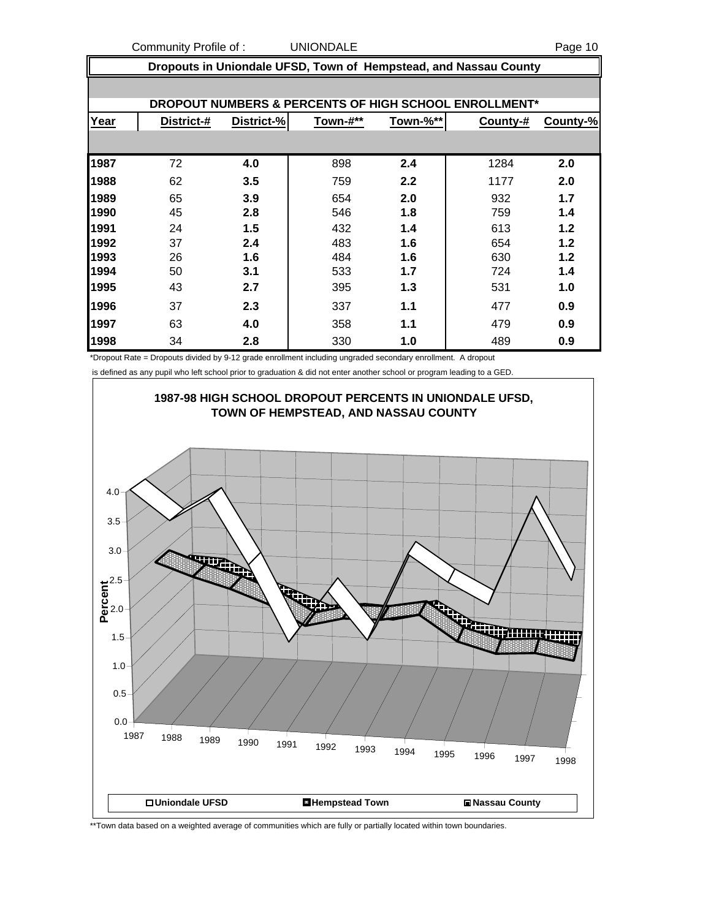Community Profile of : COMMUNIC UNIONDALE Page 10

|      | Dropouts in Uniondale UFSD, Town of Hempstead, and Nassau County |            |          |          |                                                       |          |  |
|------|------------------------------------------------------------------|------------|----------|----------|-------------------------------------------------------|----------|--|
|      |                                                                  |            |          |          |                                                       |          |  |
|      |                                                                  |            |          |          | DROPOUT NUMBERS & PERCENTS OF HIGH SCHOOL ENROLLMENT* |          |  |
| Year | District-#                                                       | District-% | Town-#** | Town-%** | County-#                                              | County-% |  |
|      |                                                                  |            |          |          |                                                       |          |  |
| 1987 | 72                                                               | 4.0        | 898      | 2.4      | 1284                                                  | 2.0      |  |
| 1988 | 62                                                               | 3.5        | 759      | 2.2      | 1177                                                  | 2.0      |  |
| 1989 | 65                                                               | 3.9        | 654      | 2.0      | 932                                                   | 1.7      |  |
| 1990 | 45                                                               | 2.8        | 546      | 1.8      | 759                                                   | 1.4      |  |
| 1991 | 24                                                               | 1.5        | 432      | 1.4      | 613                                                   | 1.2      |  |
| 1992 | 37                                                               | 2.4        | 483      | 1.6      | 654                                                   | 1.2      |  |
| 1993 | 26                                                               | 1.6        | 484      | 1.6      | 630                                                   | 1.2      |  |
| 1994 | 50                                                               | 3.1        | 533      | 1.7      | 724                                                   | 1.4      |  |
| 1995 | 43                                                               | 2.7        | 395      | 1.3      | 531                                                   | 1.0      |  |
| 1996 | 37                                                               | 2.3        | 337      | 1.1      | 477                                                   | 0.9      |  |
| 1997 | 63                                                               | 4.0        | 358      | 1.1      | 479                                                   | 0.9      |  |
| 1998 | 34                                                               | 2.8        | 330      | 1.0      | 489                                                   | 0.9      |  |

\*Dropout Rate = Dropouts divided by 9-12 grade enrollment including ungraded secondary enrollment. A dropout

is defined as any pupil who left school prior to graduation & did not enter another school or program leading to a GED.



\*\*Town data based on a weighted average of communities which are fully or partially located within town boundaries.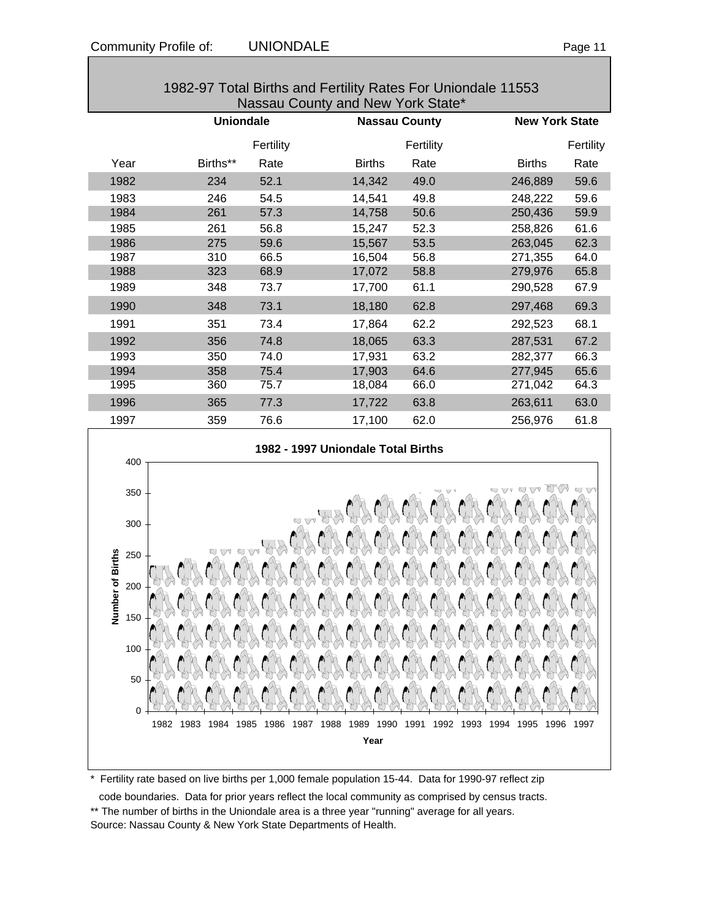| 1982-97 Total Births and Fertility Rates For Uniondale 11553<br>Nassau County and New York State* |                  |           |               |                      |                       |           |
|---------------------------------------------------------------------------------------------------|------------------|-----------|---------------|----------------------|-----------------------|-----------|
|                                                                                                   | <b>Uniondale</b> |           |               | <b>Nassau County</b> | <b>New York State</b> |           |
|                                                                                                   |                  | Fertility |               | Fertility            |                       | Fertility |
| Year                                                                                              | Births**         | Rate      | <b>Births</b> | Rate                 | <b>Births</b>         | Rate      |
| 1982                                                                                              | 234              | 52.1      | 14,342        | 49.0                 | 246,889               | 59.6      |
| 1983                                                                                              | 246              | 54.5      | 14,541        | 49.8                 | 248,222               | 59.6      |
| 1984                                                                                              | 261              | 57.3      | 14,758        | 50.6                 | 250,436               | 59.9      |
| 1985                                                                                              | 261              | 56.8      | 15,247        | 52.3                 | 258,826               | 61.6      |
| 1986                                                                                              | 275              | 59.6      | 15,567        | 53.5                 | 263,045               | 62.3      |
| 1987                                                                                              | 310              | 66.5      | 16,504        | 56.8                 | 271,355               | 64.0      |
| 1988                                                                                              | 323              | 68.9      | 17,072        | 58.8                 | 279,976               | 65.8      |
| 1989                                                                                              | 348              | 73.7      | 17,700        | 61.1                 | 290,528               | 67.9      |
| 1990                                                                                              | 348              | 73.1      | 18,180        | 62.8                 | 297,468               | 69.3      |
| 1991                                                                                              | 351              | 73.4      | 17,864        | 62.2                 | 292,523               | 68.1      |
| 1992                                                                                              | 356              | 74.8      | 18,065        | 63.3                 | 287,531               | 67.2      |
| 1993                                                                                              | 350              | 74.0      | 17,931        | 63.2                 | 282,377               | 66.3      |
| 1994                                                                                              | 358              | 75.4      | 17,903        | 64.6                 | 277,945               | 65.6      |
| 1995                                                                                              | 360              | 75.7      | 18,084        | 66.0                 | 271,042               | 64.3      |
| 1996                                                                                              | 365              | 77.3      | 17,722        | 63.8                 | 263,611               | 63.0      |
| 1997                                                                                              | 359              | 76.6      | 17,100        | 62.0                 | 256,976               | 61.8      |



#### \* Fertility rate based on live births per 1,000 female population 15-44. Data for 1990-97 reflect zip

code boundaries. Data for prior years reflect the local community as comprised by census tracts.

\*\* The number of births in the Uniondale area is a three year "running" average for all years. Source: Nassau County & New York State Departments of Health.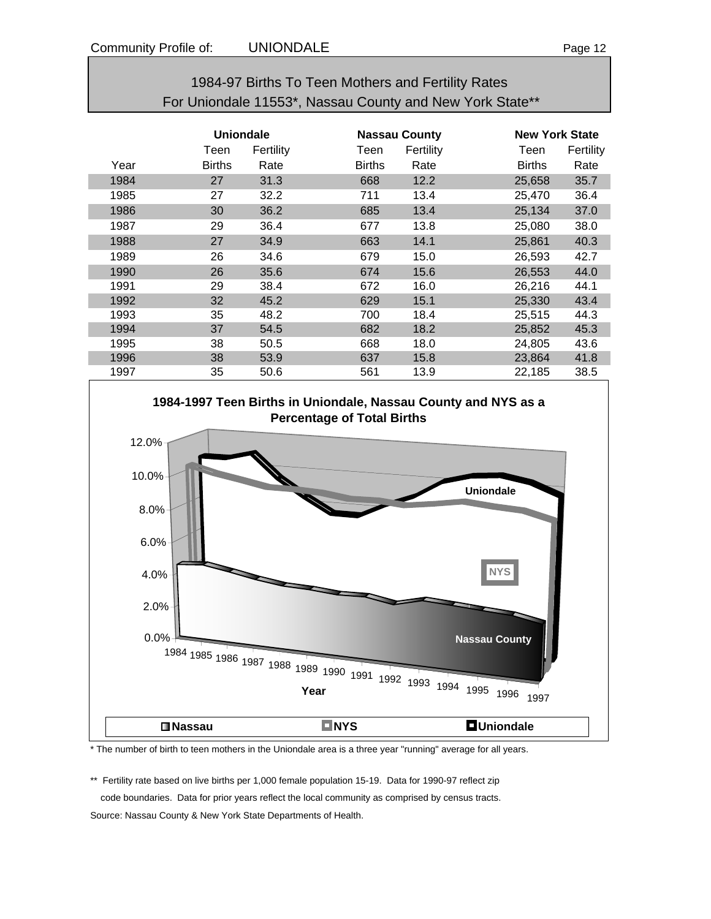### 1984-97 Births To Teen Mothers and Fertility Rates For Uniondale 11553\*, Nassau County and New York State\*\*

|      | <b>Uniondale</b> |           |               | <b>Nassau County</b> |               | <b>New York State</b> |  |
|------|------------------|-----------|---------------|----------------------|---------------|-----------------------|--|
|      | Teen             | Fertility | Teen          | Fertility            | Teen          | Fertility             |  |
| Year | <b>Births</b>    | Rate      | <b>Births</b> | Rate                 | <b>Births</b> | Rate                  |  |
| 1984 | 27               | 31.3      | 668           | 12.2                 | 25,658        | 35.7                  |  |
| 1985 | 27               | 32.2      | 711           | 13.4                 | 25,470        | 36.4                  |  |
| 1986 | 30               | 36.2      | 685           | 13.4                 | 25,134        | 37.0                  |  |
| 1987 | 29               | 36.4      | 677           | 13.8                 | 25,080        | 38.0                  |  |
| 1988 | 27               | 34.9      | 663           | 14.1                 | 25,861        | 40.3                  |  |
| 1989 | 26               | 34.6      | 679           | 15.0                 | 26,593        | 42.7                  |  |
| 1990 | 26               | 35.6      | 674           | 15.6                 | 26,553        | 44.0                  |  |
| 1991 | 29               | 38.4      | 672           | 16.0                 | 26,216        | 44.1                  |  |
| 1992 | 32               | 45.2      | 629           | 15.1                 | 25,330        | 43.4                  |  |
| 1993 | 35               | 48.2      | 700           | 18.4                 | 25,515        | 44.3                  |  |
| 1994 | 37               | 54.5      | 682           | 18.2                 | 25,852        | 45.3                  |  |
| 1995 | 38               | 50.5      | 668           | 18.0                 | 24,805        | 43.6                  |  |
| 1996 | 38               | 53.9      | 637           | 15.8                 | 23,864        | 41.8                  |  |
| 1997 | 35               | 50.6      | 561           | 13.9                 | 22,185        | 38.5                  |  |



\* The number of birth to teen mothers in the Uniondale area is a three year "running" average for all years.

\*\* Fertility rate based on live births per 1,000 female population 15-19. Data for 1990-97 reflect zip code boundaries. Data for prior years reflect the local community as comprised by census tracts. Source: Nassau County & New York State Departments of Health.